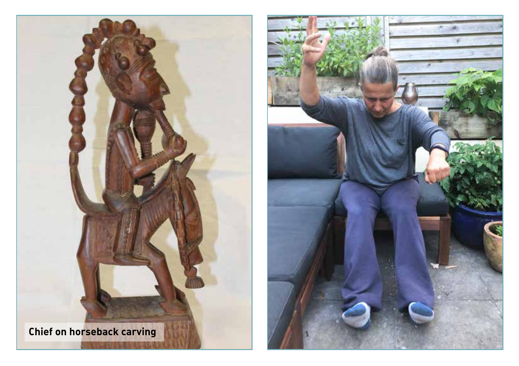

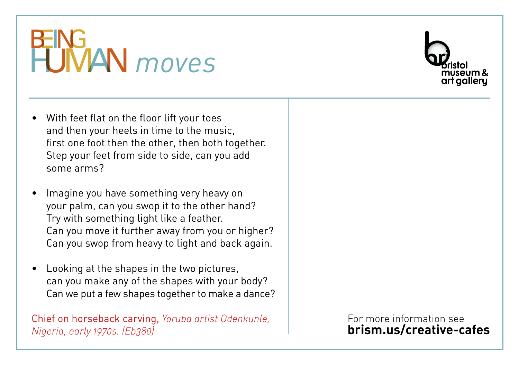

- With feet flat on the floor lift your toes and then your heels in time to the music, first one foot then the other, then both together. Step your feet from side to side, can you add some arms?
- Imagine you have something very heavy on your palm, can you swop it to the other hand? Try with something light like a feather. Can you move it further away from you or higher? Can you swop from heavy to light and back again.
- Looking at the shapes in the two pictures, can you make any of the shapes with your body? Can we put a few shapes together to make a dance?

Chief on horseback carving, *Yoruba artist Odenkunle, Nigeria, early 1970s. (Eb380)*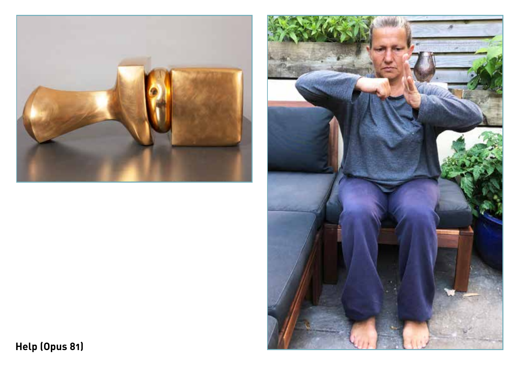



**Help (Opus 81)**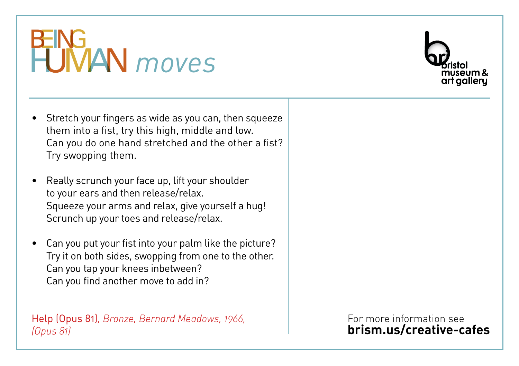

- Stretch your fingers as wide as you can, then squeeze them into a fist, try this high, middle and low. Can you do one hand stretched and the other a fist? Try swopping them.
- Really scrunch your face up, lift your shoulder to your ears and then release/relax. Squeeze your arms and relax, give yourself a hug! Scrunch up your toes and release/relax.
- Can you put your fist into your palm like the picture? Try it on both sides, swopping from one to the other. Can you tap your knees inbetween? Can you find another move to add in?

Help (Opus 81)*, Bronze, Bernard Meadows, 1966, (Opus 81)*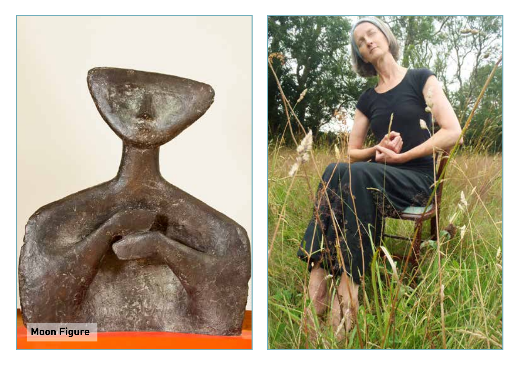

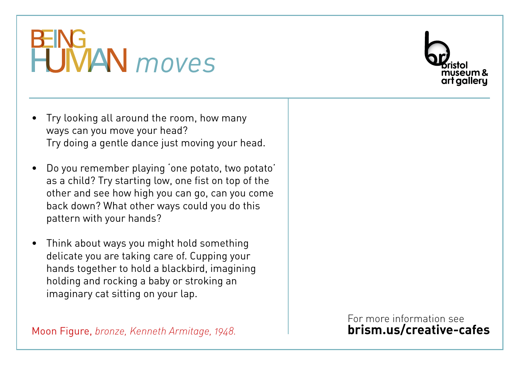

- Try looking all around the room, how many ways can you move your head? Try doing a gentle dance just moving your head.
- Do you remember playing 'one potato, two potato' as a child? Try starting low, one fist on top of the other and see how high you can go, can you come back down? What other ways could you do this pattern with your hands?
- Think about ways you might hold something delicate you are taking care of. Cupping your hands together to hold a blackbird, imagining holding and rocking a baby or stroking an imaginary cat sitting on your lap.

Moon Figure, *bronze, Kenneth Armitage, 1948.*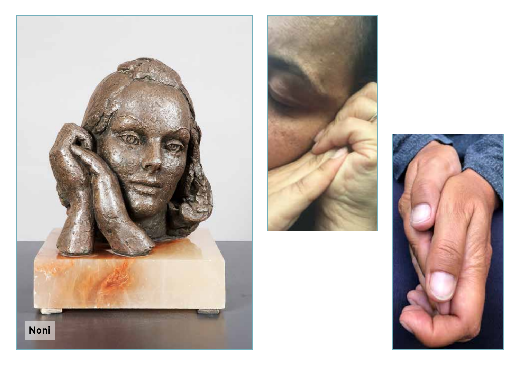



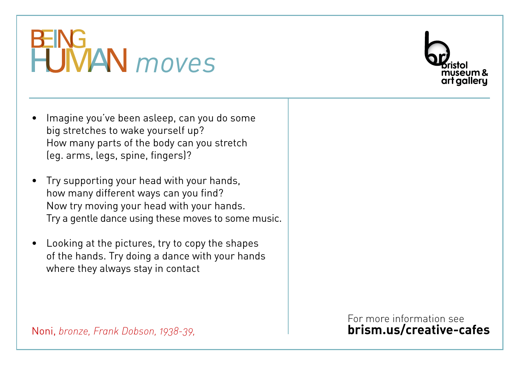

- Imagine you've been asleep, can you do some big stretches to wake yourself up? How many parts of the body can you stretch (eg. arms, legs, spine, fingers)?
- Try supporting your head with your hands, how many different ways can you find? Now try moving your head with your hands. Try a gentle dance using these moves to some music.
- Looking at the pictures, try to copy the shapes of the hands. Try doing a dance with your hands where they always stay in contact

For more information see **brism.us/creative-cafes**

Noni, *bronze, Frank Dobson, 1938-39,*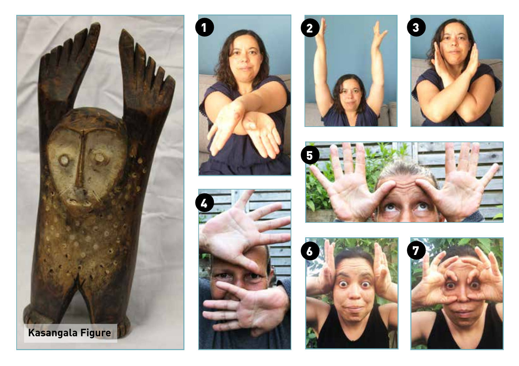













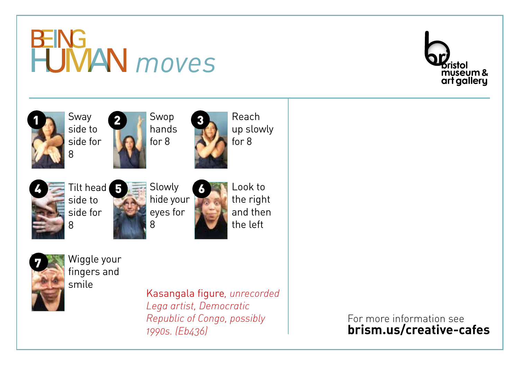





*1990s. (Eb436)*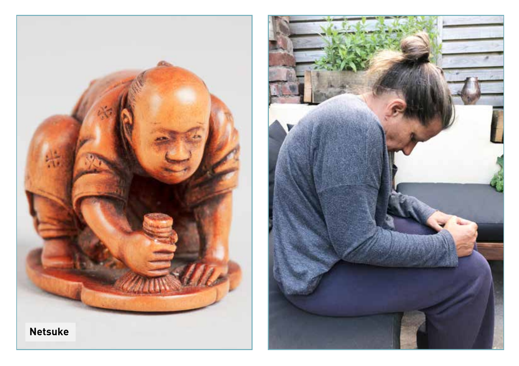

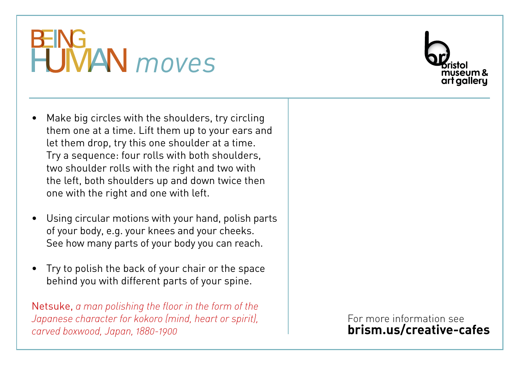

- Make big circles with the shoulders, try circling them one at a time. Lift them up to your ears and let them drop, try this one shoulder at a time. Try a sequence: four rolls with both shoulders, two shoulder rolls with the right and two with the left, both shoulders up and down twice then one with the right and one with left.
- Using circular motions with your hand, polish parts of your body, e.g. your knees and your cheeks. See how many parts of your body you can reach.
- Try to polish the back of your chair or the space behind you with different parts of your spine.

Netsuke, *a man polishing the floor in the form of the Japanese character for kokoro (mind, heart or spirit), carved boxwood, Japan, 1880-1900*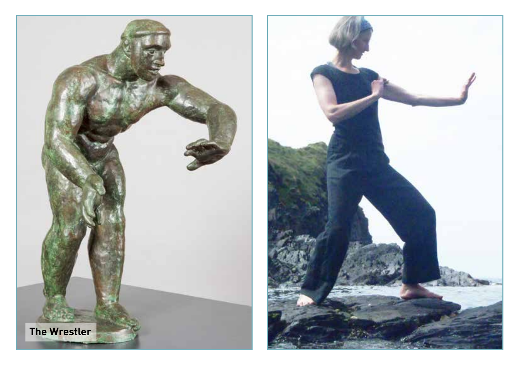